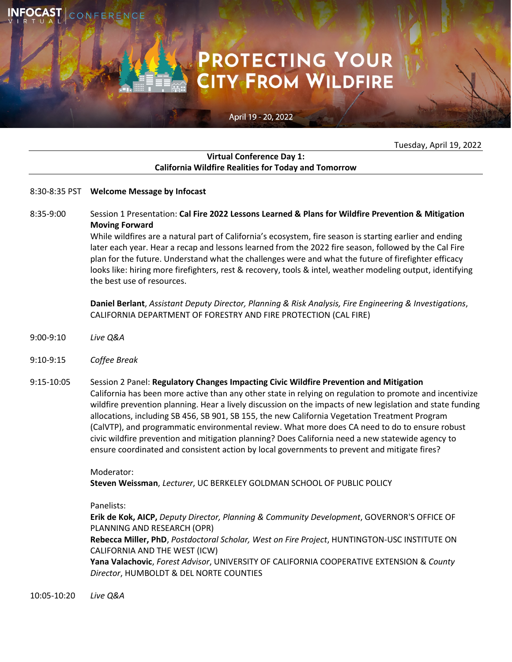# **PROTECTING YOUR<br>CITY FROM WILDFIRE**

## April 19 - 20, 2022

Tuesday, April 19, 2022

## **Virtual Conference Day 1: California Wildfire Realities for Today and Tomorrow**

#### 8:30-8:35 PST **Welcome Message by Infocast**

8:35-9:00 Session 1 Presentation: **Cal Fire 2022 Lessons Learned & Plans for Wildfire Prevention & Mitigation Moving Forward**

> While wildfires are a natural part of California's ecosystem, fire season is starting earlier and ending later each year. Hear a recap and lessons learned from the 2022 fire season, followed by the Cal Fire plan for the future. Understand what the challenges were and what the future of firefighter efficacy looks like: hiring more firefighters, rest & recovery, tools & intel, weather modeling output, identifying the best use of resources.

**Daniel Berlant**, *Assistant Deputy Director, Planning & Risk Analysis, Fire Engineering & Investigations*, CALIFORNIA DEPARTMENT OF FORESTRY AND FIRE PROTECTION (CAL FIRE)

- 9:00-9:10 *Live Q&A*
- 9:10-9:15 *Coffee Break*
- 9:15-10:05 Session 2 Panel: **Regulatory Changes Impacting Civic Wildfire Prevention and Mitigation** California has been more active than any other state in relying on regulation to promote and incentivize wildfire prevention planning. Hear a lively discussion on the impacts of new legislation and state funding allocations, including SB 456, SB 901, SB 155, the new California Vegetation Treatment Program (CalVTP), and programmatic environmental review. What more does CA need to do to ensure robust civic wildfire prevention and mitigation planning? Does California need a new statewide agency to ensure coordinated and consistent action by local governments to prevent and mitigate fires?

#### Moderator:

**Steven Weissman**, *Lecturer*, UC BERKELEY GOLDMAN SCHOOL OF PUBLIC POLICY

## Panelists:

**Erik de Kok, AICP,** *Deputy Director, Planning & Community Development*, GOVERNOR'S OFFICE OF PLANNING AND RESEARCH (OPR)

**Rebecca Miller, PhD**, *Postdoctoral Scholar, West on Fire Project*, HUNTINGTON-USC INSTITUTE ON CALIFORNIA AND THE WEST (ICW)

**Yana Valachovic**, *Forest Advisor*, UNIVERSITY OF CALIFORNIA COOPERATIVE EXTENSION & *County Director*, HUMBOLDT & DEL NORTE COUNTIES

10:05-10:20 *Live Q&A*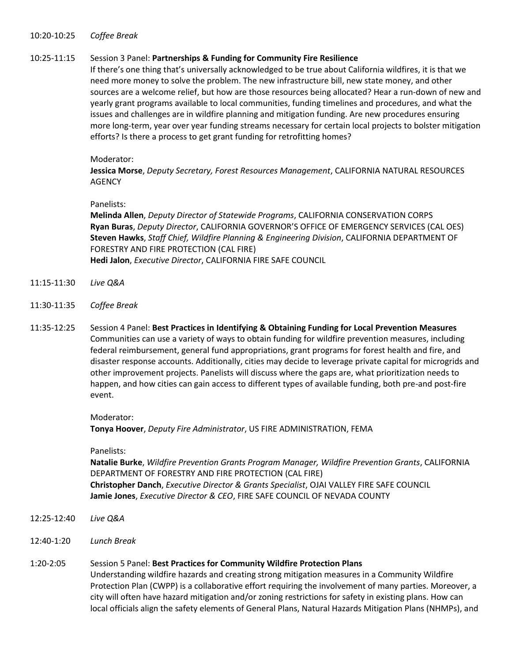#### 10:20-10:25 *Coffee Break*

#### 10:25-11:15 Session 3 Panel: **Partnerships & Funding for Community Fire Resilience**

If there's one thing that's universally acknowledged to be true about California wildfires, it is that we need more money to solve the problem. The new infrastructure bill, new state money, and other sources are a welcome relief, but how are those resources being allocated? Hear a run-down of new and yearly grant programs available to local communities, funding timelines and procedures, and what the issues and challenges are in wildfire planning and mitigation funding. Are new procedures ensuring more long-term, year over year funding streams necessary for certain local projects to bolster mitigation efforts? Is there a process to get grant funding for retrofitting homes?

#### Moderator:

**Jessica Morse**, *Deputy Secretary, Forest Resources Management*, CALIFORNIA NATURAL RESOURCES AGENCY

#### Panelists:

**Melinda Allen**, *Deputy Director of Statewide Programs*, CALIFORNIA CONSERVATION CORPS **Ryan Buras**, *Deputy Director*, CALIFORNIA GOVERNOR'S OFFICE OF EMERGENCY SERVICES (CAL OES) **Steven Hawks**, *Staff Chief, Wildfire Planning & Engineering Division*, CALIFORNIA DEPARTMENT OF FORESTRY AND FIRE PROTECTION (CAL FIRE) **Hedi Jalon**, *Executive Director*, CALIFORNIA FIRE SAFE COUNCIL

- 11:15-11:30 *Live Q&A*
- 11:30-11:35 *Coffee Break*
- 11:35-12:25 Session 4 Panel: **Best Practices in Identifying & Obtaining Funding for Local Prevention Measures**  Communities can use a variety of ways to obtain funding for wildfire prevention measures, including federal reimbursement, general fund appropriations, grant programs for forest health and fire, and disaster response accounts. Additionally, cities may decide to leverage private capital for microgrids and other improvement projects. Panelists will discuss where the gaps are, what prioritization needs to happen, and how cities can gain access to different types of available funding, both pre-and post-fire event.

#### Moderator:

**Tonya Hoover**, *Deputy Fire Administrator*, US FIRE ADMINISTRATION, FEMA

#### Panelists:

**Natalie Burke**, *Wildfire Prevention Grants Program Manager, Wildfire Prevention Grants*, CALIFORNIA DEPARTMENT OF FORESTRY AND FIRE PROTECTION (CAL FIRE) **Christopher Danch**, *Executive Director & Grants Specialist*, OJAI VALLEY FIRE SAFE COUNCIL **Jamie Jones**, *Executive Director & CEO*, FIRE SAFE COUNCIL OF NEVADA COUNTY

- 12:25-12:40 *Live Q&A*
- 12:40-1:20 *Lunch Break*

# 1:20-2:05 Session 5 Panel: **Best Practices for Community Wildfire Protection Plans** Understanding wildfire hazards and creating strong mitigation measures in a Community Wildfire Protection Plan (CWPP) is a collaborative effort requiring the involvement of many parties. Moreover, a city will often have hazard mitigation and/or zoning restrictions for safety in existing plans. How can local officials align the safety elements of General Plans, Natural Hazards Mitigation Plans (NHMPs), and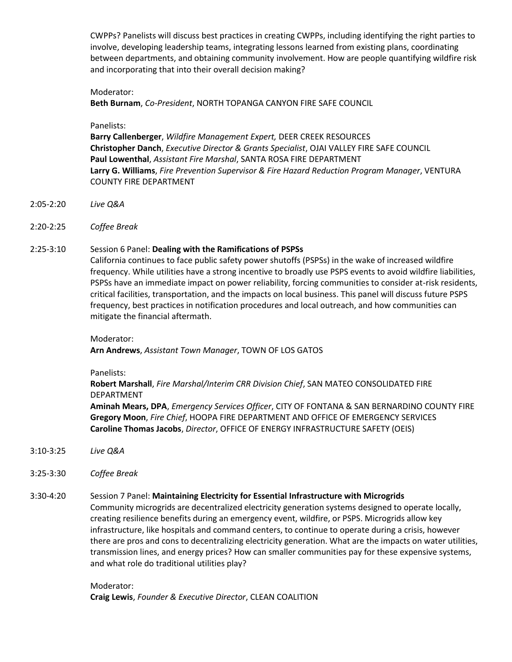CWPPs? Panelists will discuss best practices in creating CWPPs, including identifying the right parties to involve, developing leadership teams, integrating lessons learned from existing plans, coordinating between departments, and obtaining community involvement. How are people quantifying wildfire risk and incorporating that into their overall decision making?

## Moderator:

**Beth Burnam**, *Co-President*, NORTH TOPANGA CANYON FIRE SAFE COUNCIL

## Panelists:

**Barry Callenberger**, *Wildfire Management Expert,* DEER CREEK RESOURCES **Christopher Danch**, *Executive Director & Grants Specialist*, OJAI VALLEY FIRE SAFE COUNCIL **Paul Lowenthal**, *Assistant Fire Marshal*, SANTA ROSA FIRE DEPARTMENT **Larry G. Williams**, *Fire Prevention Supervisor & Fire Hazard Reduction Program Manager*, VENTURA COUNTY FIRE DEPARTMENT

- 2:05-2:20 *Live Q&A*
- 2:20-2:25 *Coffee Break*

# 2:25-3:10 Session 6 Panel: **Dealing with the Ramifications of PSPSs**

California continues to face public safety power shutoffs (PSPSs) in the wake of increased wildfire frequency. While utilities have a strong incentive to broadly use PSPS events to avoid wildfire liabilities, PSPSs have an immediate impact on power reliability, forcing communities to consider at-risk residents, critical facilities, transportation, and the impacts on local business. This panel will discuss future PSPS frequency, best practices in notification procedures and local outreach, and how communities can mitigate the financial aftermath.

Moderator:

**Arn Andrews**, *Assistant Town Manager*, TOWN OF LOS GATOS

Panelists:

**Robert Marshall**, *Fire Marshal/Interim CRR Division Chief*, SAN MATEO CONSOLIDATED FIRE DEPARTMENT **Aminah Mears, DPA**, *Emergency Services Officer*, CITY OF FONTANA & SAN BERNARDINO COUNTY FIRE **Gregory Moon**, *Fire Chief*, HOOPA FIRE DEPARTMENT AND OFFICE OF EMERGENCY SERVICES **Caroline Thomas Jacobs**, *Director*, OFFICE OF ENERGY INFRASTRUCTURE SAFETY (OEIS)

- 3:10-3:25 *Live Q&A*
- 3:25-3:30 *Coffee Break*

## 3:30-4:20 Session 7 Panel: **Maintaining Electricity for Essential Infrastructure with Microgrids**

Community microgrids are decentralized electricity generation systems designed to operate locally, creating resilience benefits during an emergency event, wildfire, or PSPS. Microgrids allow key infrastructure, like hospitals and command centers, to continue to operate during a crisis, however there are pros and cons to decentralizing electricity generation. What are the impacts on water utilities, transmission lines, and energy prices? How can smaller communities pay for these expensive systems, and what role do traditional utilities play?

# Moderator: **Craig Lewis**, *Founder & Executive Director*, CLEAN COALITION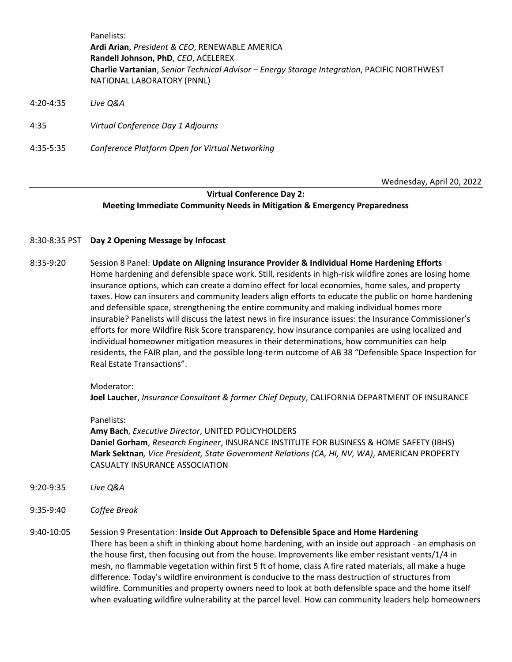Panelists: **Ardi Arian**, *President & CEO*, RENEWABLE AMERICA **Randell Johnson, PhD**, *CEO*, ACELEREX **Charlie Vartanian**, *Senior Technical Advisor – Energy Storage Integration*, PACIFIC NORTHWEST NATIONAL LABORATORY (PNNL)

- 4:20-4:35 *Live Q&A*
- 4:35 *Virtual Conference Day 1 Adjourns*
- 4:35-5:35 *Conference Platform Open for Virtual Networking*

Wednesday, April 20, 2022

# **Virtual Conference Day 2: Meeting Immediate Community Needs in Mitigation & Emergency Preparedness**

- 8:30-8:35 PST **Day 2 Opening Message by Infocast**
- 8:35-9:20 Session 8 Panel: **Update on Aligning Insurance Provider & Individual Home Hardening Efforts** Home hardening and defensible space work. Still, residents in high-risk wildfire zones are losing home insurance options, which can create a domino effect for local economies, home sales, and property taxes. How can insurers and community leaders align efforts to educate the public on home hardening and defensible space, strengthening the entire community and making individual homes more insurable? Panelists will discuss the latest news in fire insurance issues: the Insurance Commissioner's efforts for more Wildfire Risk Score transparency, how insurance companies are using localized and individual homeowner mitigation measures in their determinations, how communities can help residents, the FAIR plan, and the possible long-term outcome of AB 38 "Defensible Space Inspection for Real Estate Transactions".

#### Moderator:

**Joel Laucher**, *Insurance Consultant & former Chief Deputy*, CALIFORNIA DEPARTMENT OF INSURANCE

## Panelists:

**Amy Bach**, *Executive Director*, UNITED POLICYHOLDERS **Daniel Gorham**, *Research Engineer*, INSURANCE INSTITUTE FOR BUSINESS & HOME SAFETY (IBHS) **Mark Sektnan***, Vice President, State Government Relations (CA, HI, NV, WA)*, AMERICAN PROPERTY CASUALTY INSURANCE ASSOCIATION

- 9:20-9:35 *Live Q&A*
- 9:35-9:40 *Coffee Break*

# 9:40-10:05 Session 9 Presentation: **Inside Out Approach to Defensible Space and Home Hardening** There has been a shift in thinking about home hardening, with an inside out approach - an emphasis on the house first, then focusing out from the house. Improvements like ember resistant vents/1/4 in mesh, no flammable vegetation within first 5 ft of home, class A fire rated materials, all make a huge difference. Today's wildfire environment is conducive to the mass destruction of structures from wildfire. Communities and property owners need to look at both defensible space and the home itself when evaluating wildfire vulnerability at the parcel level. How can community leaders help homeowners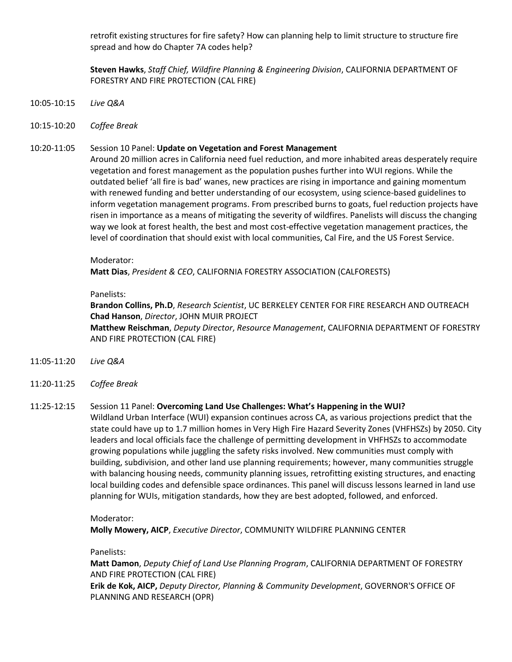retrofit existing structures for fire safety? How can planning help to limit structure to structure fire spread and how do Chapter 7A codes help?

**Steven Hawks**, *Staff Chief, Wildfire Planning & Engineering Division*, CALIFORNIA DEPARTMENT OF FORESTRY AND FIRE PROTECTION (CAL FIRE)

- 10:05-10:15 *Live Q&A*
- 10:15-10:20 *Coffee Break*

## 10:20-11:05 Session 10 Panel: **Update on Vegetation and Forest Management**

Around 20 million acres in California need fuel reduction, and more inhabited areas desperately require vegetation and forest management as the population pushes further into WUI regions. While the outdated belief 'all fire is bad' wanes, new practices are rising in importance and gaining momentum with renewed funding and better understanding of our ecosystem, using science-based guidelines to inform vegetation management programs. From prescribed burns to goats, fuel reduction projects have risen in importance as a means of mitigating the severity of wildfires. Panelists will discuss the changing way we look at forest health, the best and most cost-effective vegetation management practices, the level of coordination that should exist with local communities, Cal Fire, and the US Forest Service.

#### Moderator:

**Matt Dias**, *President & CEO*, CALIFORNIA FORESTRY ASSOCIATION (CALFORESTS)

## Panelists:

**Brandon Collins, Ph.D**, *Research Scientist*, UC BERKELEY CENTER FOR FIRE RESEARCH AND OUTREACH **Chad Hanson**, *Director*, JOHN MUIR PROJECT **Matthew Reischman**, *Deputy Director*, *Resource Management*, CALIFORNIA DEPARTMENT OF FORESTRY AND FIRE PROTECTION (CAL FIRE)

- 11:05-11:20 *Live Q&A*
- 11:20-11:25 *Coffee Break*

# 11:25-12:15 Session 11 Panel: **Overcoming Land Use Challenges: What's Happening in the WUI?**

Wildland Urban Interface (WUI) expansion continues across CA, as various projections predict that the state could have up to 1.7 million homes in Very High Fire Hazard Severity Zones (VHFHSZs) by 2050. City leaders and local officials face the challenge of permitting development in VHFHSZs to accommodate growing populations while juggling the safety risks involved. New communities must comply with building, subdivision, and other land use planning requirements; however, many communities struggle with balancing housing needs, community planning issues, retrofitting existing structures, and enacting local building codes and defensible space ordinances. This panel will discuss lessons learned in land use planning for WUIs, mitigation standards, how they are best adopted, followed, and enforced.

#### Moderator:

**Molly Mowery, AICP**, *Executive Director*, COMMUNITY WILDFIRE PLANNING CENTER

## Panelists:

**Matt Damon**, *Deputy Chief of Land Use Planning Program*, CALIFORNIA DEPARTMENT OF FORESTRY AND FIRE PROTECTION (CAL FIRE) **Erik de Kok, AICP,** *Deputy Director, Planning & Community Development*, GOVERNOR'S OFFICE OF PLANNING AND RESEARCH (OPR)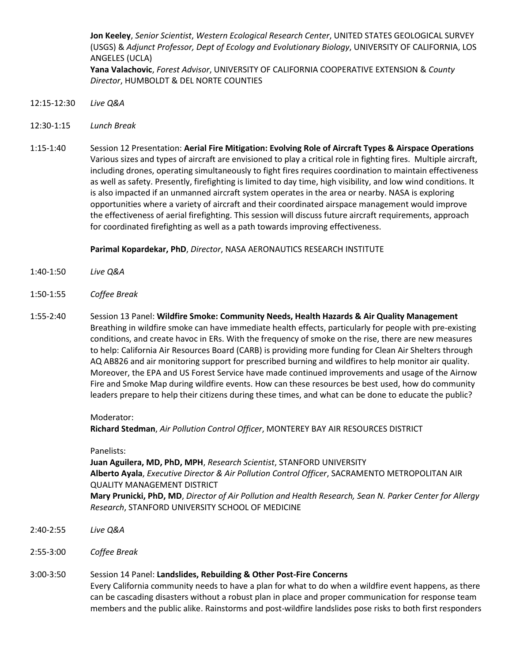**Jon Keeley**, *Senior Scientist*, *Western Ecological Research Center*, UNITED STATES GEOLOGICAL SURVEY (USGS) & *Adjunct Professor, Dept of Ecology and Evolutionary Biology*, UNIVERSITY OF CALIFORNIA, LOS ANGELES (UCLA) **Yana Valachovic**, *Forest Advisor*, UNIVERSITY OF CALIFORNIA COOPERATIVE EXTENSION & *County Director*, HUMBOLDT & DEL NORTE COUNTIES

- 12:15-12:30 *Live Q&A*
- 12:30-1:15 *Lunch Break*
- 1:15-1:40 Session 12 Presentation: **Aerial Fire Mitigation: Evolving Role of Aircraft Types & Airspace Operations** Various sizes and types of aircraft are envisioned to play a critical role in fighting fires. Multiple aircraft, including drones, operating simultaneously to fight fires requires coordination to maintain effectiveness as well as safety. Presently, firefighting is limited to day time, high visibility, and low wind conditions. It is also impacted if an unmanned aircraft system operates in the area or nearby. NASA is exploring opportunities where a variety of aircraft and their coordinated airspace management would improve the effectiveness of aerial firefighting. This session will discuss future aircraft requirements, approach for coordinated firefighting as well as a path towards improving effectiveness.

**Parimal Kopardekar, PhD**, *Director*, NASA AERONAUTICS RESEARCH INSTITUTE

- 1:40-1:50 *Live Q&A*
- 1:50-1:55 *Coffee Break*
- 1:55-2:40 Session 13 Panel: **Wildfire Smoke: Community Needs, Health Hazards & Air Quality Management** Breathing in wildfire smoke can have immediate health effects, particularly for people with pre-existing conditions, and create havoc in ERs. With the frequency of smoke on the rise, there are new measures to help: California Air Resources Board (CARB) is providing more funding for Clean Air Shelters through AQ AB826 and air monitoring support for prescribed burning and wildfires to help monitor air quality. Moreover, the EPA and US Forest Service have made continued improvements and usage of the Airnow Fire and Smoke Map during wildfire events. How can these resources be best used, how do community leaders prepare to help their citizens during these times, and what can be done to educate the public?

#### Moderator:

**Richard Stedman**, *Air Pollution Control Officer*, MONTEREY BAY AIR RESOURCES DISTRICT

#### Panelists:

**Juan Aguilera, MD, PhD, MPH**, *Research Scientist*, STANFORD UNIVERSITY **Alberto Ayala**, *Executive Director & Air Pollution Control Officer*, SACRAMENTO METROPOLITAN AIR QUALITY MANAGEMENT DISTRICT **Mary Prunicki, PhD, MD**, *Director of Air Pollution and Health Research, Sean N. Parker Center for Allergy Research*, STANFORD UNIVERSITY SCHOOL OF MEDICINE

- 2:40-2:55 *Live Q&A*
- 2:55-3:00 *Coffee Break*
- 3:00-3:50 Session 14 Panel: **Landslides, Rebuilding & Other Post-Fire Concerns** Every California community needs to have a plan for what to do when a wildfire event happens, as there can be cascading disasters without a robust plan in place and proper communication for response team members and the public alike. Rainstorms and post-wildfire landslides pose risks to both first responders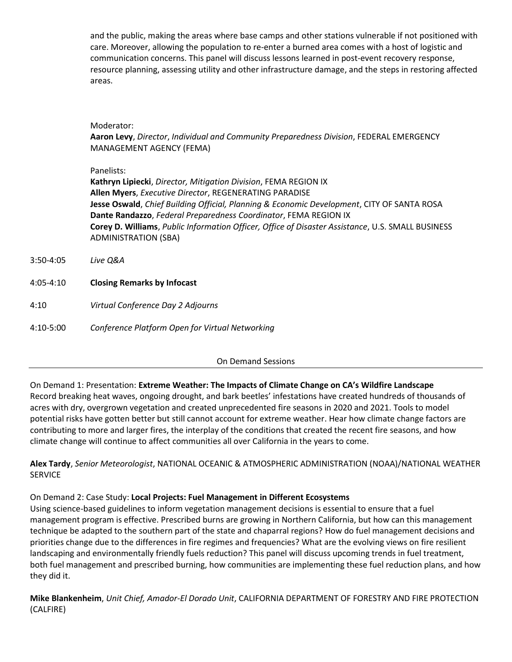and the public, making the areas where base camps and other stations vulnerable if not positioned with care. Moreover, allowing the population to re-enter a burned area comes with a host of logistic and communication concerns. This panel will discuss lessons learned in post-event recovery response, resource planning, assessing utility and other infrastructure damage, and the steps in restoring affected areas.

## Moderator:

**Aaron Levy**, *Director*, *Individual and Community Preparedness Division*, FEDERAL EMERGENCY MANAGEMENT AGENCY (FEMA)

## Panelists:

**Kathryn Lipiecki**, *Director, Mitigation Division*, FEMA REGION IX **Allen Myers**, *Executive Director*, REGENERATING PARADISE **Jesse Oswald**, *Chief Building Official, Planning & Economic Development*, CITY OF SANTA ROSA **Dante Randazzo**, *Federal Preparedness Coordinator*, FEMA REGION IX **Corey D. Williams**, *Public Information Officer, Office of Disaster Assistance*, U.S. SMALL BUSINESS ADMINISTRATION (SBA)

- 3:50-4:05 *Live Q&A*
- 4:05-4:10 **Closing Remarks by Infocast**
- 4:10 *Virtual Conference Day 2 Adjourns*

4:10-5:00 *Conference Platform Open for Virtual Networking*

## On Demand Sessions

On Demand 1: Presentation: **Extreme Weather: The Impacts of Climate Change on CA's Wildfire Landscape** Record breaking heat waves, ongoing drought, and bark beetles' infestations have created hundreds of thousands of acres with dry, overgrown vegetation and created unprecedented fire seasons in 2020 and 2021. Tools to model potential risks have gotten better but still cannot account for extreme weather. Hear how climate change factors are contributing to more and larger fires, the interplay of the conditions that created the recent fire seasons, and how climate change will continue to affect communities all over California in the years to come.

# **Alex Tardy**, *Senior Meteorologist*, NATIONAL OCEANIC & ATMOSPHERIC ADMINISTRATION (NOAA)/NATIONAL WEATHER **SERVICE**

# On Demand 2: Case Study: **Local Projects: Fuel Management in Different Ecosystems**

Using science-based guidelines to inform vegetation management decisions is essential to ensure that a fuel management program is effective. Prescribed burns are growing in Northern California, but how can this management technique be adapted to the southern part of the state and chaparral regions? How do fuel management decisions and priorities change due to the differences in fire regimes and frequencies? What are the evolving views on fire resilient landscaping and environmentally friendly fuels reduction? This panel will discuss upcoming trends in fuel treatment, both fuel management and prescribed burning, how communities are implementing these fuel reduction plans, and how they did it.

**Mike Blankenheim**, *Unit Chief, Amador-El Dorado Unit*, CALIFORNIA DEPARTMENT OF FORESTRY AND FIRE PROTECTION (CALFIRE)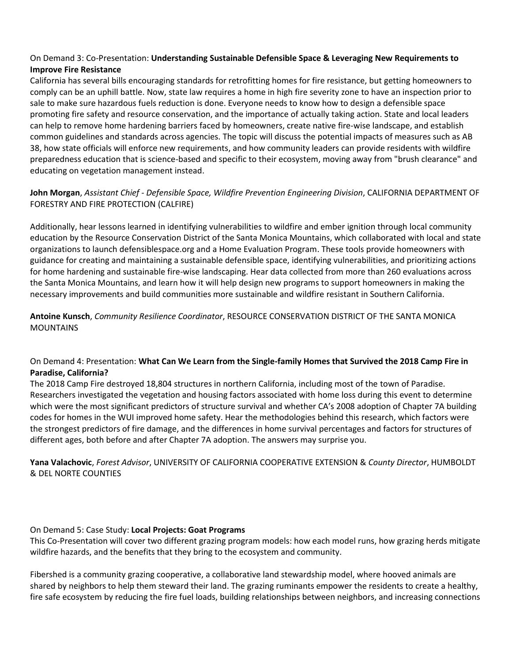# On Demand 3: Co-Presentation: **Understanding Sustainable Defensible Space & Leveraging New Requirements to Improve Fire Resistance**

California has several bills encouraging standards for retrofitting homes for fire resistance, but getting homeowners to comply can be an uphill battle. Now, state law requires a home in high fire severity zone to have an inspection prior to sale to make sure hazardous fuels reduction is done. Everyone needs to know how to design a defensible space promoting fire safety and resource conservation, and the importance of actually taking action. State and local leaders can help to remove home hardening barriers faced by homeowners, create native fire-wise landscape, and establish common guidelines and standards across agencies. The topic will discuss the potential impacts of measures such as AB 38, how state officials will enforce new requirements, and how community leaders can provide residents with wildfire preparedness education that is science-based and specific to their ecosystem, moving away from "brush clearance" and educating on vegetation management instead.

# **John Morgan**, *Assistant Chief - Defensible Space, Wildfire Prevention Engineering Division*, CALIFORNIA DEPARTMENT OF FORESTRY AND FIRE PROTECTION (CALFIRE)

Additionally, hear lessons learned in identifying vulnerabilities to wildfire and ember ignition through local community education by the Resource Conservation District of the Santa Monica Mountains, which collaborated with local and state organizations to launch defensiblespace.org and a Home Evaluation Program. These tools provide homeowners with guidance for creating and maintaining a sustainable defensible space, identifying vulnerabilities, and prioritizing actions for home hardening and sustainable fire-wise landscaping. Hear data collected from more than 260 evaluations across the Santa Monica Mountains, and learn how it will help design new programs to support homeowners in making the necessary improvements and build communities more sustainable and wildfire resistant in Southern California.

**Antoine Kunsch**, *Community Resilience Coordinator*, RESOURCE CONSERVATION DISTRICT OF THE SANTA MONICA MOUNTAINS

# On Demand 4: Presentation: **What Can We Learn from the Single-family Homes that Survived the 2018 Camp Fire in Paradise, California?**

The 2018 Camp Fire destroyed 18,804 structures in northern California, including most of the town of Paradise. Researchers investigated the vegetation and housing factors associated with home loss during this event to determine which were the most significant predictors of structure survival and whether CA's 2008 adoption of Chapter 7A building codes for homes in the WUI improved home safety. Hear the methodologies behind this research, which factors were the strongest predictors of fire damage, and the differences in home survival percentages and factors for structures of different ages, both before and after Chapter 7A adoption. The answers may surprise you.

**Yana Valachovic**, *Forest Advisor*, UNIVERSITY OF CALIFORNIA COOPERATIVE EXTENSION & *County Director*, HUMBOLDT & DEL NORTE COUNTIES

# On Demand 5: Case Study: **Local Projects: Goat Programs**

This Co-Presentation will cover two different grazing program models: how each model runs, how grazing herds mitigate wildfire hazards, and the benefits that they bring to the ecosystem and community.

Fibershed is a community grazing cooperative, a collaborative land stewardship model, where hooved animals are shared by neighbors to help them steward their land. The grazing ruminants empower the residents to create a healthy, fire safe ecosystem by reducing the fire fuel loads, building relationships between neighbors, and increasing connections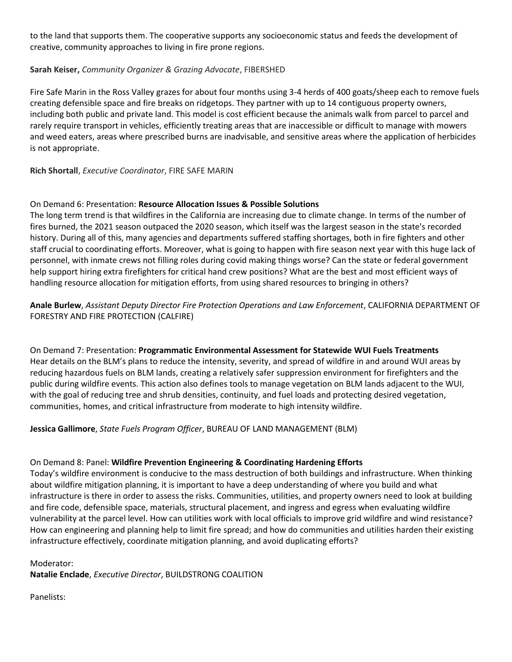to the land that supports them. The cooperative supports any socioeconomic status and feeds the development of creative, community approaches to living in fire prone regions.

# **Sarah Keiser,** *Community Organizer & Grazing Advocate*, FIBERSHED

Fire Safe Marin in the Ross Valley grazes for about four months using 3-4 herds of 400 goats/sheep each to remove fuels creating defensible space and fire breaks on ridgetops. They partner with up to 14 contiguous property owners, including both public and private land. This model is cost efficient because the animals walk from parcel to parcel and rarely require transport in vehicles, efficiently treating areas that are inaccessible or difficult to manage with mowers and weed eaters, areas where prescribed burns are inadvisable, and sensitive areas where the application of herbicides is not appropriate.

**Rich Shortall**, *Executive Coordinator*, FIRE SAFE MARIN

# On Demand 6: Presentation: **Resource Allocation Issues & Possible Solutions**

The long term trend is that wildfires in the California are increasing due to climate change. In terms of the number of fires burned, the 2021 season outpaced the 2020 season, which itself was the largest season in the state's recorded history. During all of this, many agencies and departments suffered staffing shortages, both in fire fighters and other staff crucial to coordinating efforts. Moreover, what is going to happen with fire season next year with this huge lack of personnel, with inmate crews not filling roles during covid making things worse? Can the state or federal government help support hiring extra firefighters for critical hand crew positions? What are the best and most efficient ways of handling resource allocation for mitigation efforts, from using shared resources to bringing in others?

# **Anale Burlew**, *Assistant Deputy Director Fire Protection Operations and Law Enforcement*, CALIFORNIA DEPARTMENT OF FORESTRY AND FIRE PROTECTION (CALFIRE)

On Demand 7: Presentation: **Programmatic Environmental Assessment for Statewide WUI Fuels Treatments** Hear details on the BLM's plans to reduce the intensity, severity, and spread of wildfire in and around WUI areas by reducing hazardous fuels on BLM lands, creating a relatively safer suppression environment for firefighters and the public during wildfire events. This action also defines tools to manage vegetation on BLM lands adjacent to the WUI, with the goal of reducing tree and shrub densities, continuity, and fuel loads and protecting desired vegetation, communities, homes, and critical infrastructure from moderate to high intensity wildfire.

## **Jessica Gallimore**, *State Fuels Program Officer*, BUREAU OF LAND MANAGEMENT (BLM)

## On Demand 8: Panel: **Wildfire Prevention Engineering & Coordinating Hardening Efforts**

Today's wildfire environment is conducive to the mass destruction of both buildings and infrastructure. When thinking about wildfire mitigation planning, it is important to have a deep understanding of where you build and what infrastructure is there in order to assess the risks. Communities, utilities, and property owners need to look at building and fire code, defensible space, materials, structural placement, and ingress and egress when evaluating wildfire vulnerability at the parcel level. How can utilities work with local officials to improve grid wildfire and wind resistance? How can engineering and planning help to limit fire spread; and how do communities and utilities harden their existing infrastructure effectively, coordinate mitigation planning, and avoid duplicating efforts?

## Moderator:

**Natalie Enclade**, *Executive Director*, BUILDSTRONG COALITION

Panelists: